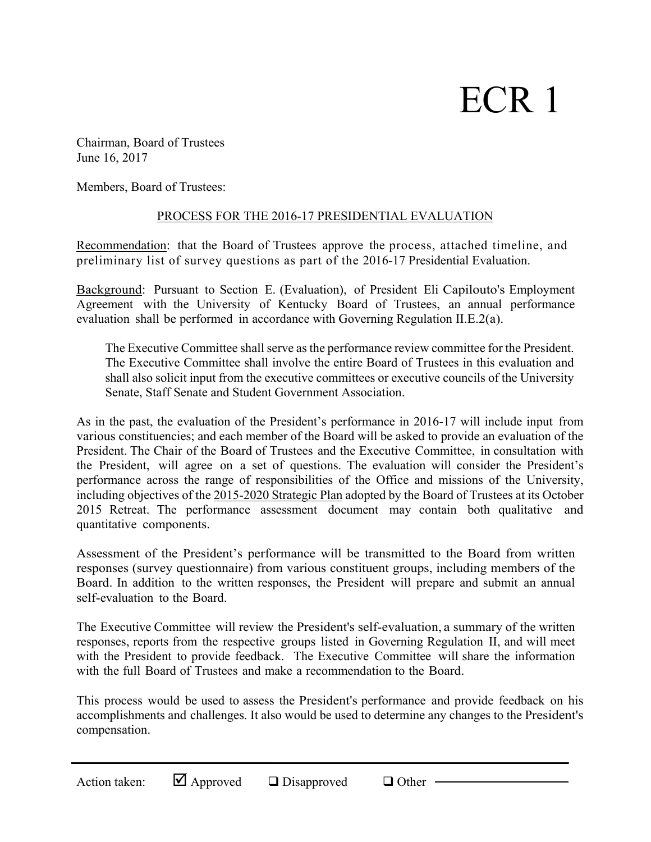# ECR 1

Chairman, Board of Trustees June 16, 2017

Members, Board of Trustees:

# PROCESS FOR THE 2016-17 PRESIDENTIAL EVALUATION

Recommendation: that the Board of Trustees approve the process, attached timeline, and preliminary list of survey questions as part of the 2016-17 Presidential Evaluation.

Background: Pursuant to Section E. (Evaluation), of President Eli Capilouto's Employment Agreement with the University of Kentucky Board of Trustees, an annual performance evaluation shall be performed in accordance with Governing Regulation II.E.2(a).

The Executive Committee shall serve as the performance review committee for the President. The Executive Committee shall involve the entire Board of Trustees in this evaluation and shall also solicit input from the executive committees or executive councils of the University Senate, Staff Senate and Student Government Association.

As in the past, the evaluation of the President's performance in 2016-17 will include input from various constituencies; and each member of the Board will be asked to provide an evaluation of the President. The Chair of the Board of Trustees and the Executive Committee, in consultation with the President, will agree on a set of questions. The evaluation will consider the President's performance across the range of responsibilities of the Office and missions of the University, including objectives of the 2015-2020 Strategic Plan adopted by the Board of Trustees at its October 2015 Retreat. The performance assessment document may contain both qualitative and quantitative components.

Assessment of the President's performance will be transmitted to the Board from written responses (survey questionnaire) from various constituent groups, including members of the Board. In addition to the written responses, the President will prepare and submit an annual self-evaluation to the Board.

The Executive Committee will review the President's self-evaluation, a summary of the written responses, reports from the respective groups listed in Governing Regulation II, and will meet with the President to provide feedback. The Executive Committee will share the information with the full Board of Trustees and make a recommendation to the Board.

This process would be used to assess the President's performance and provide feedback on his accomplishments and challenges. It also would be used to determine any changes to the President's compensation.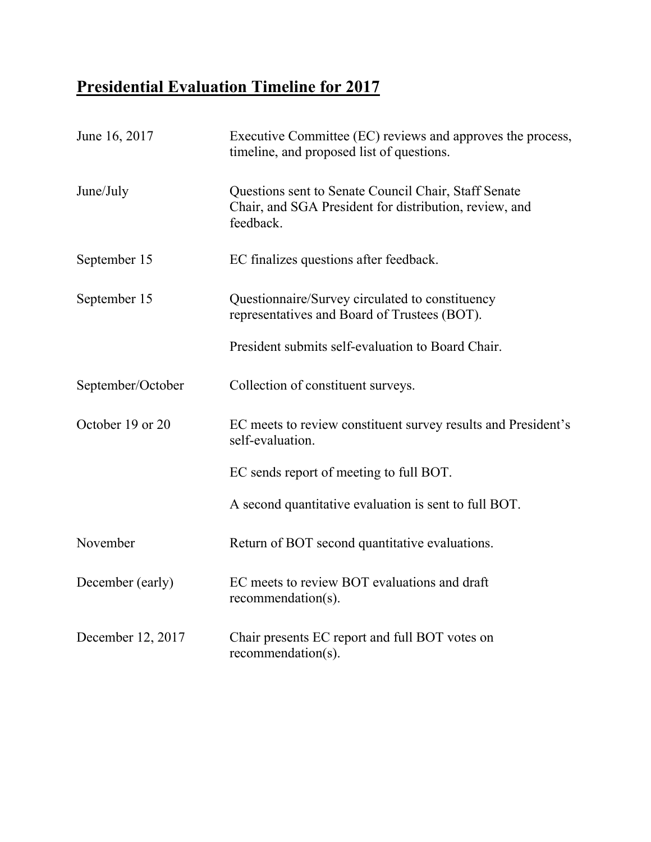# **Presidential Evaluation Timeline for 2017**

| June 16, 2017     | Executive Committee (EC) reviews and approves the process,<br>timeline, and proposed list of questions.                     |
|-------------------|-----------------------------------------------------------------------------------------------------------------------------|
| June/July         | Questions sent to Senate Council Chair, Staff Senate<br>Chair, and SGA President for distribution, review, and<br>feedback. |
| September 15      | EC finalizes questions after feedback.                                                                                      |
| September 15      | Questionnaire/Survey circulated to constituency<br>representatives and Board of Trustees (BOT).                             |
|                   | President submits self-evaluation to Board Chair.                                                                           |
| September/October | Collection of constituent surveys.                                                                                          |
| October 19 or 20  | EC meets to review constituent survey results and President's<br>self-evaluation.                                           |
|                   | EC sends report of meeting to full BOT.                                                                                     |
|                   | A second quantitative evaluation is sent to full BOT.                                                                       |
| November          | Return of BOT second quantitative evaluations.                                                                              |
| December (early)  | EC meets to review BOT evaluations and draft<br>$recommandation(s)$ .                                                       |
| December 12, 2017 | Chair presents EC report and full BOT votes on<br>$recommandation(s)$ .                                                     |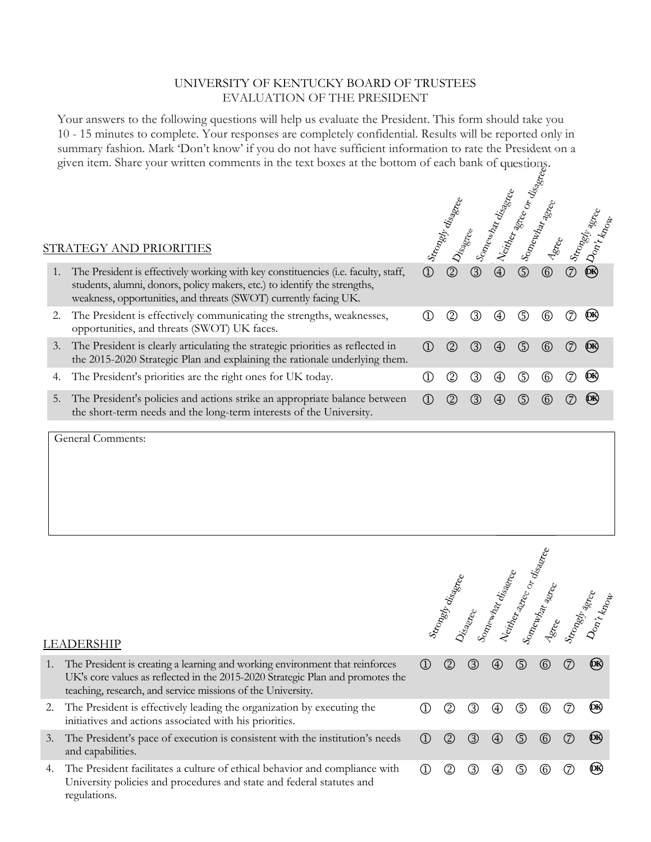## UNIVERSITY OF KENTUCKY BOARD OF TRUSTEES EVALUATION OF THE PRESIDENT

Your answers to the following questions will help us evaluate the President. This form should take you 10 - 15 minutes to complete. Your responses are completely confidential. Results will be reported only in summary fashion. Mark 'Don't know' if you do not have sufficient information to rate the President on a given item. Share your written comments in the text boxes at the bottom of each bank of questions.

 $\kappa$ 

 $\sigma_{\lambda}$ 

|    | STRATEGY AND PRIORITIES                                                                                                                                                                                                             |                   | Strongly diagnee |     |                   | disa<br>Veider-agee | Somewhat agree    |   | Stronger<br>Don't dinne |
|----|-------------------------------------------------------------------------------------------------------------------------------------------------------------------------------------------------------------------------------------|-------------------|------------------|-----|-------------------|---------------------|-------------------|---|-------------------------|
|    | The President is effectively working with key constituencies (i.e. faculty, staff,<br>students, alumni, donors, policy makers, etc.) to identify the strengths,<br>weakness, opportunities, and threats (SWOT) currently facing UK. | $\rm (1)$         | (2)              | (3) | $\left( 4\right)$ | ⑤                   | $^{\circledR}$    |   | (DK)                    |
|    | The President is effectively communicating the strengths, weaknesses,<br>opportunities, and threats (SWOT) UK faces.                                                                                                                |                   | (2)              | 3)  | (4)               | (5)                 | (6)               |   | (DК)                    |
| 3. | The President is clearly articulating the strategic priorities as reflected in<br>the 2015-2020 Strategic Plan and explaining the rationale underlying them.                                                                        | (1)               | $\circled{2}$    | (3) | (4)               | (5)                 | $\left( 6\right)$ |   | (DK)                    |
| 4. | The President's priorities are the right ones for UK today.                                                                                                                                                                         |                   | (2)              | 3)  | $\left( 4\right)$ | (5)                 | $\left( 6\right)$ | 7 | (DK)                    |
| 5. | The President's policies and actions strike an appropriate balance between<br>the short-term needs and the long-term interests of the University.                                                                                   | $\left( 1\right)$ | (2)              | (3) | (4)               | (5)                 | (6)               |   | (DK)                    |

General Comments:

|    | T)ER2HIF                                                                                                                                                                                                                      |                                | Strongely disappea |     | Mewlset           |     |                   |     | Neitherace or disage |
|----|-------------------------------------------------------------------------------------------------------------------------------------------------------------------------------------------------------------------------------|--------------------------------|--------------------|-----|-------------------|-----|-------------------|-----|----------------------|
| 1. | The President is creating a learning and working environment that reinforces<br>UK's core values as reflected in the 2015-2020 Strategic Plan and promotes the<br>teaching, research, and service missions of the University. | $\textcircled{\scriptsize{1}}$ | (2)                | 3)  | (4)               | ⑤   | $\left( 6\right)$ | (7) | ФR)                  |
| 2. | The President is effectively leading the organization by executing the<br>initiatives and actions associated with his priorities.                                                                                             |                                |                    | 3)  | $\left( 4\right)$ | (5  | (6)               |     | (DK)                 |
| 3. | The President's pace of execution is consistent with the institution's needs<br>and capabilities.                                                                                                                             | $\bigcirc$                     | (2)                | (3) | (4)               | (5) | (6)               | (7) | (DK)                 |
| 4. | The President facilitates a culture of ethical behavior and compliance with<br>University policies and procedures and state and federal statutes and                                                                          | Œ                              |                    | 3)  | $\left( 4\right)$ | (5) | (6)               |     | (DK)                 |

#### LEADERSHIP

regulations.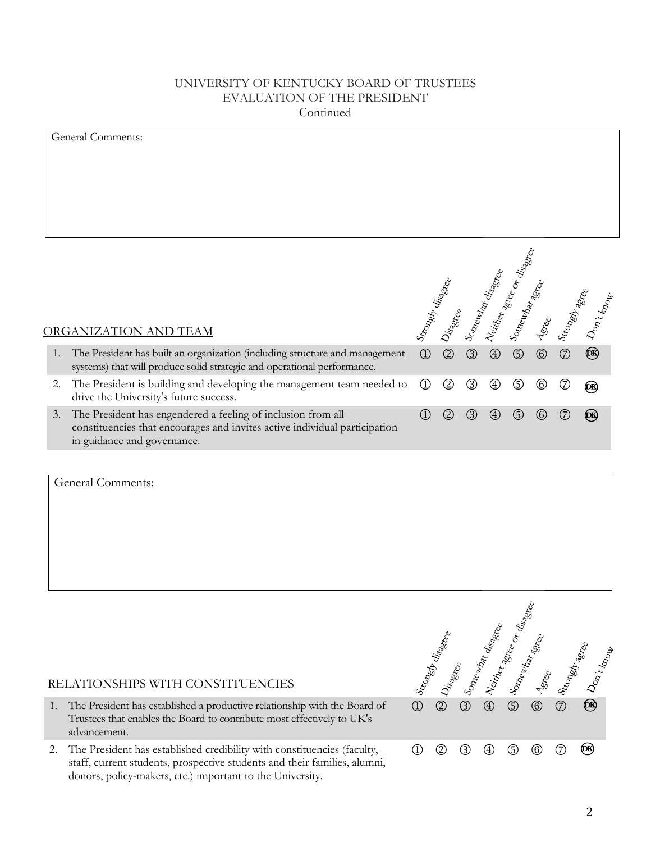### UNIVERSITY OF KENTUCKY BOARD OF TRUSTEES EVALUATION OF THE PRESIDENT Continued

|    | <b>General Comments:</b>                                                                                                                                                  |                                |               |     |                   |                          |             |                |              |
|----|---------------------------------------------------------------------------------------------------------------------------------------------------------------------------|--------------------------------|---------------|-----|-------------------|--------------------------|-------------|----------------|--------------|
|    |                                                                                                                                                                           |                                |               |     |                   |                          |             |                |              |
|    |                                                                                                                                                                           |                                |               |     |                   |                          |             |                |              |
|    |                                                                                                                                                                           |                                |               |     |                   |                          |             |                |              |
|    |                                                                                                                                                                           |                                |               |     |                   |                          |             |                |              |
|    |                                                                                                                                                                           |                                |               |     |                   |                          |             |                |              |
|    |                                                                                                                                                                           |                                |               |     |                   |                          |             |                |              |
|    |                                                                                                                                                                           |                                |               |     |                   | Neitler affree or disame |             |                |              |
|    |                                                                                                                                                                           |                                |               |     |                   |                          |             |                |              |
|    |                                                                                                                                                                           |                                |               |     |                   |                          |             |                |              |
|    |                                                                                                                                                                           |                                |               |     |                   |                          |             |                |              |
|    | <b>ORGANIZATION AND TEAM</b>                                                                                                                                              | Stronger disame                |               |     | Somewhat disappea | Somewhat age             | stee        |                | Stronger age |
|    |                                                                                                                                                                           |                                |               |     |                   |                          |             |                |              |
| 1. | The President has built an organization (including structure and management<br>systems) that will produce solid strategic and operational performance.                    | $\circled{1}$                  | $\circled{2}$ | 3   | $^{\circledR}$    | $\circledS$              | $\circledS$ | $^{\circledR}$ | OR)          |
| 2. | The President is building and developing the management team needed to                                                                                                    | $\circled{1}$                  | ②             | ③   | ⊕                 | ⑤                        | 6           | (7)            | бŔ,          |
|    | drive the University's future success.                                                                                                                                    |                                |               |     |                   |                          |             |                |              |
| 3. | The President has engendered a feeling of inclusion from all<br>constituencies that encourages and invites active individual participation<br>in guidance and governance. | $\textcircled{\scriptsize{1}}$ | $\circled{2}$ | (3) | (4)               | (5)                      | (6)         |                | (DK)         |
|    |                                                                                                                                                                           |                                |               |     |                   |                          |             |                |              |

General Comments:

# RELATIONSHIPS WITH CONSTITUENCIES

- 1. The President has established a productive relationship with the Board of Trustees that enables the Board to contribute most effectively to UK's advancement.
- 2. The President has established credibility with constituencies (faculty, staff, current students, prospective students and their families, alumni, donors, policy-makers, etc.) important to the University.

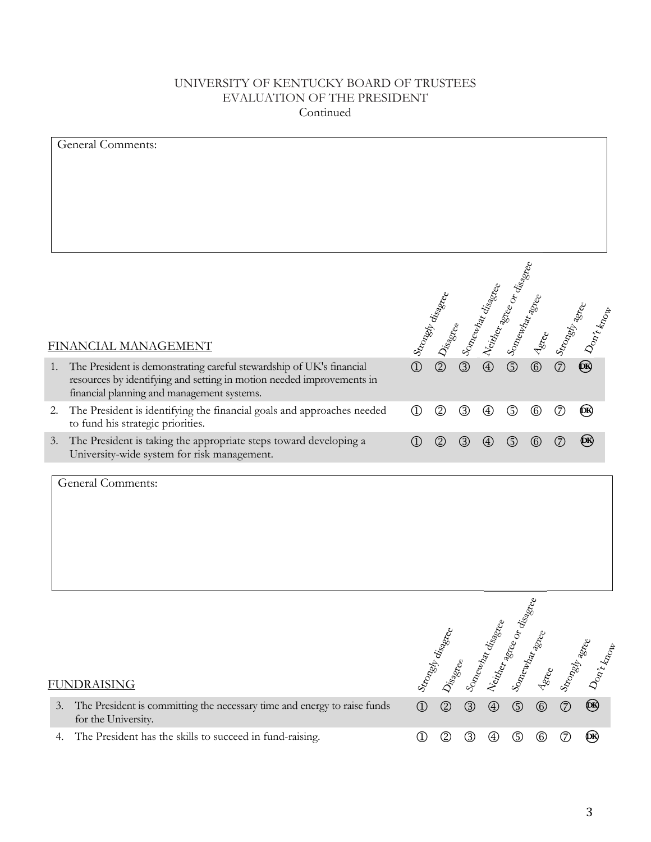# UNIVERSITY OF KENTUCKY BOARD OF TRUSTEES EVALUATION OF THE PRESIDENT Continued

| General Comments:                                                                                                                                                                                 |                                   |                  |                |               |                                                                                                                                                                                                                                |                |                |                  |
|---------------------------------------------------------------------------------------------------------------------------------------------------------------------------------------------------|-----------------------------------|------------------|----------------|---------------|--------------------------------------------------------------------------------------------------------------------------------------------------------------------------------------------------------------------------------|----------------|----------------|------------------|
| FINANCIAL MANAGEMENT                                                                                                                                                                              |                                   | Strongly disame  |                |               | J Somewhat disamed the Cordinate of the Cordinate district of the Cordination of the Cordination of the Cordination of the Cordination of the Cordination of the Cordination of the Cordination of the Cordination of the Cord |                |                | Strongly appears |
| The President is demonstrating careful stewardship of UK's financial<br>1.<br>resources by identifying and setting in motion needed improvements in<br>financial planning and management systems. | $\bigcirc$                        | $\circled{2}$    |                |               |                                                                                                                                                                                                                                |                |                | ®                |
| The President is identifying the financial goals and approaches needed<br>2.<br>to fund his strategic priorities.                                                                                 | $^{\circledR}$                    | $^{\circledR}$   | $^{\circledR}$ | ⊕             | $\circledS$                                                                                                                                                                                                                    | $\circledcirc$ | $^{\circledR}$ | QR)              |
| The President is taking the appropriate steps toward developing a<br>3.<br>University-wide system for risk management.                                                                            | $^{\textcircled{\scriptsize{1}}}$ | $^{\circledR}$   | ③              | ④             | ⑤                                                                                                                                                                                                                              | $^{\circledR}$ | $^\circledR$   | <b>OR</b>        |
| <b>General Comments:</b>                                                                                                                                                                          |                                   |                  |                |               |                                                                                                                                                                                                                                |                |                |                  |
| <b>FUNDRAISING</b>                                                                                                                                                                                |                                   | Strongly diagnee |                |               | Disagree<br>Somewhat disagree<br>B Neither disagree<br>Somewhat are or disagree                                                                                                                                                |                |                | Astree Stree     |
| The President is committing the necessary time and energy to raise funds<br>3.<br>for the University.                                                                                             | $\circled{1}$                     |                  |                |               |                                                                                                                                                                                                                                |                |                | ®                |
| The President has the skills to succeed in fund-raising.<br>4.                                                                                                                                    | $^\circledR$                      | $\circled{2}$    | $\circled{3}$  | $\circledast$ | $\circledS$                                                                                                                                                                                                                    | $^{\circ}$     | $\circledcirc$ | ®                |